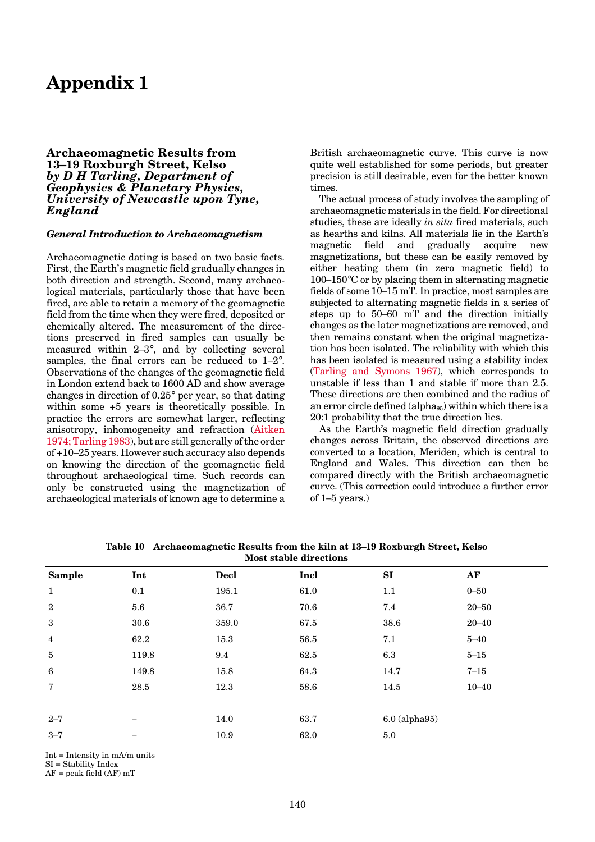## <span id="page-0-0"></span>**Archaeomagnetic Results from 13–19 Roxburgh Street, Kelso** *by D H Tarling, Department of Geophysics & Planetary Physics, University of Newcastle upon Tyne, England*

## *General Introduction to Archaeomagnetism*

Archaeomagnetic dating is based on two basic facts. First, the Earth's magnetic field gradually changes in both direction and strength. Second, many archaeological materials, particularly those that have been fired, are able to retain a memory of the geomagnetic field from the time when they were fired, deposited or chemically altered. The measurement of the directions preserved in fired samples can usually be measured within 2–3°, and by collecting several samples, the final errors can be reduced to 1–2°. Observations of the changes of the geomagnetic field in London extend back to 1600 AD and show average changes in direction of 0.25° per year, so that dating within some +5 years is theoretically possible. In practice the errors are somewhat larger, reflecting anisotropy, inhomogeneity and refraction (Aitken 1974; Tarling 1983), but are still generally of the order of  $\pm 10$ –25 years. However such accuracy also depends on knowing the direction of the geomagnetic field throughout archaeological time. Such records can only be constructed using the magnetization of archaeological materials of known age to determine a

British archaeomagnetic curve. This curve is now quite well established for some periods, but greater precision is still desirable, even for the better known times.

The actual process of study involves the sampling of archaeomagnetic materials in the field. For directional studies, these are ideally *in situ* fired materials, such as hearths and kilns. All materials lie in the Earth's magnetic field and gradually acquire new magnetizations, but these can be easily removed by either heating them (in zero magnetic field) to  $100-150^{\circ}$ C or by placing them in alternating magnetic fields of some 10–15 mT. In practice, most samples are subjected to alternating magnetic fields in a series of steps up to 50–60 mT and the direction initially changes as the later magnetizations are removed, and then remains constant when the original magnetization has been isolated. The reliability with which this has been isolated is measured using a stability index (Tarling and Symons 1967), which corresponds to unstable if less than 1 and stable if more than 2.5. These directions are then combined and the radius of an error circle defined (alpha $_{95}$ ) within which there is a 20:1 probability that the true direction lies.

As the Earth's magnetic field direction gradually changes across Britain, the observed directions are converted to a location, Meriden, which is central to England and Wales. This direction can then be compared directly with the British archaeomagnetic curve. (This correction could introduce a further error of 1–5 years.)

| <b>Sample</b>    | Int   | <b>Decl</b> | Incl | SI   | AF              |  |
|------------------|-------|-------------|------|------|-----------------|--|
| $\mathbf{1}$     | 0.1   | 195.1       | 61.0 | 1.1  | $0 - 50$        |  |
| $\boldsymbol{2}$ | 5.6   | 36.7        | 70.6 | 7.4  | $20 - 50$       |  |
| $\sqrt{3}$       | 30.6  | 359.0       | 67.5 | 38.6 | $20 - 40$       |  |
| $\overline{4}$   | 62.2  | 15.3        | 56.5 | 7.1  | $5 - 40$        |  |
| $\bf 5$          | 119.8 | 9.4         | 62.5 | 6.3  | $5 - 15$        |  |
| 6                | 149.8 | 15.8        | 64.3 | 14.7 | $7 - 15$        |  |
| $\overline{7}$   | 28.5  | 12.3        | 58.6 | 14.5 | $10 - 40$       |  |
|                  |       |             |      |      |                 |  |
| $2 - 7$          |       | 14.0        | 63.7 |      | $6.0$ (alpha95) |  |
| $3 - 7$          |       | 10.9        | 62.0 | 5.0  |                 |  |

**Table 10 Archaeomagnetic Results from the kiln at 13–19 Roxburgh Street, Kelso Most stable directions**

Int = Intensity in mA/m units

SI = Stability Index

AF = peak field (AF) mT